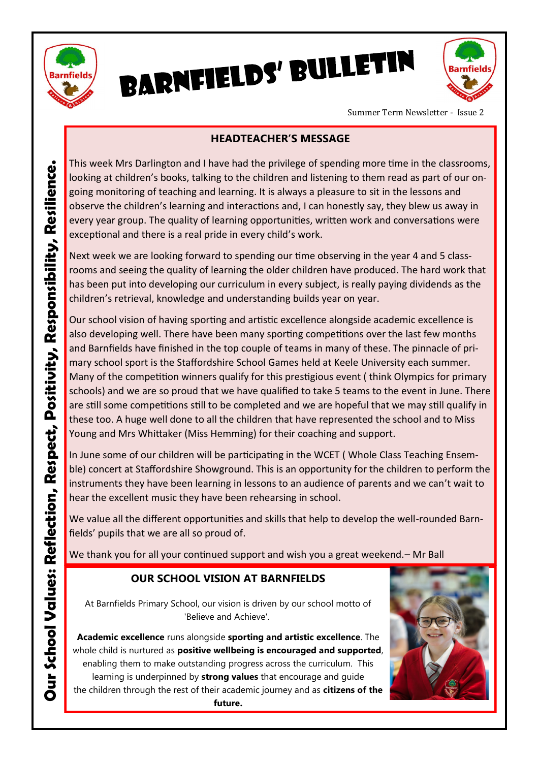

BARNFIELDS' BULLETIN



Summer Term Newsletter - Issue 2

### **HEADTEACHER'S MESSAGE**

This week Mrs Darlington and I have had the privilege of spending more time in the classrooms, looking at children's books, talking to the children and listening to them read as part of our ongoing monitoring of teaching and learning. It is always a pleasure to sit in the lessons and observe the children's learning and interactions and, I can honestly say, they blew us away in every year group. The quality of learning opportunities, written work and conversations were exceptional and there is a real pride in every child's work.

Next week we are looking forward to spending our time observing in the year 4 and 5 classrooms and seeing the quality of learning the older children have produced. The hard work that has been put into developing our curriculum in every subject, is really paying dividends as the children's retrieval, knowledge and understanding builds year on year.

Our school vision of having sporting and artistic excellence alongside academic excellence is also developing well. There have been many sporting competitions over the last few months and Barnfields have finished in the top couple of teams in many of these. The pinnacle of primary school sport is the Staffordshire School Games held at Keele University each summer. Many of the competition winners qualify for this prestigious event ( think Olympics for primary schools) and we are so proud that we have qualified to take 5 teams to the event in June. There are still some competitions still to be completed and we are hopeful that we may still qualify in these too. A huge well done to all the children that have represented the school and to Miss Young and Mrs Whittaker (Miss Hemming) for their coaching and support.

In June some of our children will be participating in the WCET ( Whole Class Teaching Ensemble) concert at Staffordshire Showground. This is an opportunity for the children to perform the instruments they have been learning in lessons to an audience of parents and we can't wait to hear the excellent music they have been rehearsing in school.

We value all the different opportunities and skills that help to develop the well-rounded Barnfields' pupils that we are all so proud of.

We thank you for all your continued support and wish you a great weekend. – Mr Ball

## **OUR SCHOOL VISION AT BARNFIELDS**

At Barnfields Primary School, our vision is driven by our school motto of 'Believe and Achieve'.

**Academic excellence** runs alongside **sporting and artistic excellence**. The whole child is nurtured as **positive wellbeing is encouraged and supported**, enabling them to make outstanding progress across the curriculum. This

learning is underpinned by **strong values** that encourage and guide the children through the rest of their academic journey and as **citizens of the future.**

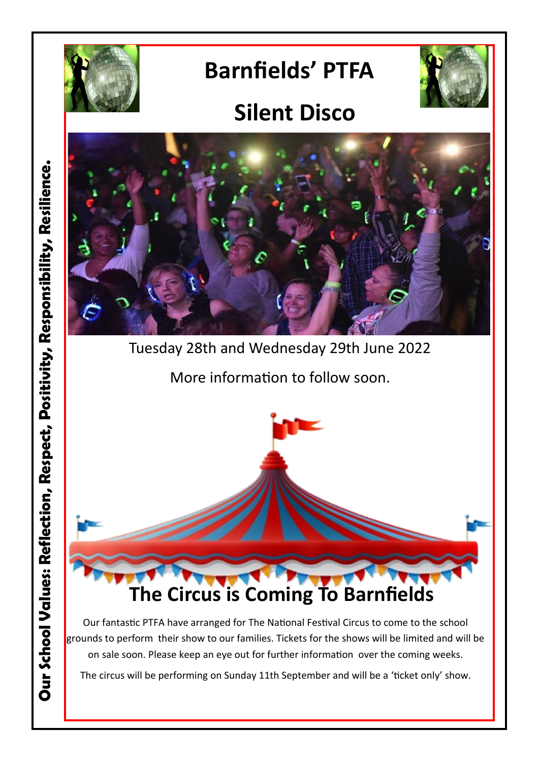

# **Barnfields' PTFA**



## **Silent Disco**



Tuesday 28th and Wednesday 29th June 2022

More information to follow soon.



Our fantastic PTFA have arranged for The National Festival Circus to come to the school grounds to perform their show to our families. Tickets for the shows will be limited and will be on sale soon. Please keep an eye out for further information over the coming weeks.

The circus will be performing on Sunday 11th September and will be a 'ticket only' show.